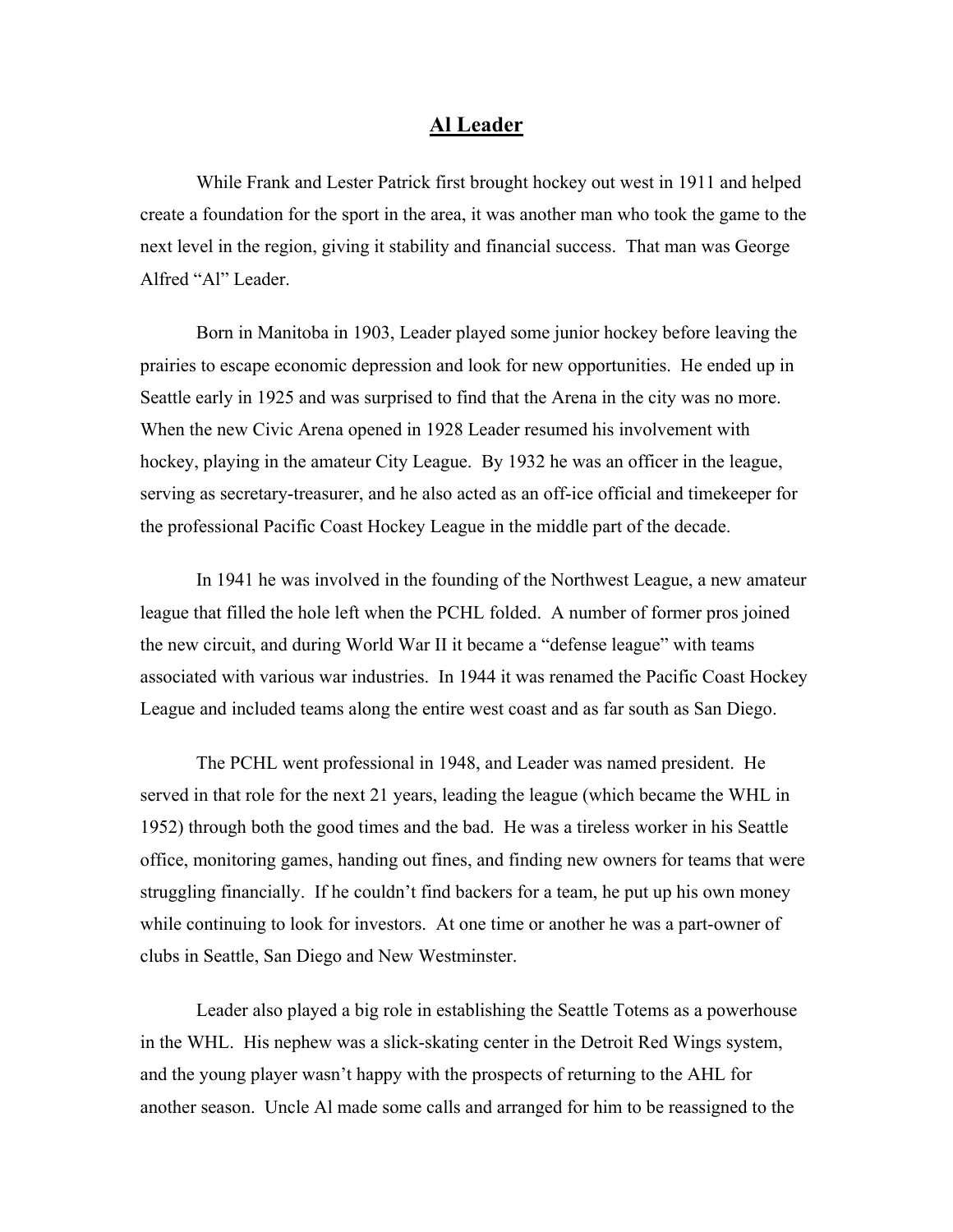## **Al Leader**

While Frank and Lester Patrick first brought hockey out west in 1911 and helped create a foundation for the sport in the area, it was another man who took the game to the next level in the region, giving it stability and financial success. That man was George Alfred "Al" Leader.

Born in Manitoba in 1903, Leader played some junior hockey before leaving the prairies to escape economic depression and look for new opportunities. He ended up in Seattle early in 1925 and was surprised to find that the Arena in the city was no more. When the new Civic Arena opened in 1928 Leader resumed his involvement with hockey, playing in the amateur City League. By 1932 he was an officer in the league, serving as secretary-treasurer, and he also acted as an off-ice official and timekeeper for the professional Pacific Coast Hockey League in the middle part of the decade.

In 1941 he was involved in the founding of the Northwest League, a new amateur league that filled the hole left when the PCHL folded. A number of former pros joined the new circuit, and during World War II it became a "defense league" with teams associated with various war industries. In 1944 it was renamed the Pacific Coast Hockey League and included teams along the entire west coast and as far south as San Diego.

The PCHL went professional in 1948, and Leader was named president. He served in that role for the next 21 years, leading the league (which became the WHL in 1952) through both the good times and the bad. He was a tireless worker in his Seattle office, monitoring games, handing out fines, and finding new owners for teams that were struggling financially. If he couldn't find backers for a team, he put up his own money while continuing to look for investors. At one time or another he was a part-owner of clubs in Seattle, San Diego and New Westminster.

Leader also played a big role in establishing the Seattle Totems as a powerhouse in the WHL. His nephew was a slick-skating center in the Detroit Red Wings system, and the young player wasn't happy with the prospects of returning to the AHL for another season. Uncle Al made some calls and arranged for him to be reassigned to the